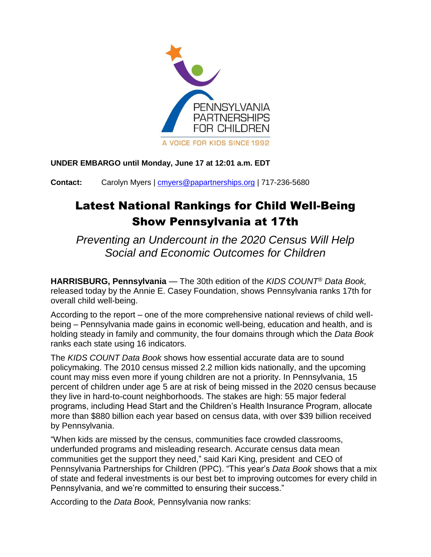

**UNDER EMBARGO until Monday, June 17 at 12:01 a.m. EDT** 

**Contact:** Carolyn Myers | [cmyers@papartnerships.org](mailto:cmyers@papartnerships.org) | 717-236-5680

## Latest National Rankings for Child Well-Being Show Pennsylvania at 17th

*Preventing an Undercount in the 2020 Census Will Help Social and Economic Outcomes for Children*

**HARRISBURG, Pennsylvania** — The 30th edition of the *KIDS COUNT*® *Data Book,* released today by the Annie E. Casey Foundation, shows Pennsylvania ranks 17th for overall child well-being.

According to the report – one of the more comprehensive national reviews of child wellbeing – Pennsylvania made gains in economic well-being, education and health, and is holding steady in family and community, the four domains through which the *Data Book* ranks each state using 16 indicators.

The *KIDS COUNT Data Book* shows how essential accurate data are to sound policymaking. The 2010 census missed 2.2 million kids nationally, and the upcoming count may miss even more if young children are not a priority. In Pennsylvania, 15 percent of children under age 5 are at risk of being missed in the 2020 census because they live in hard-to-count neighborhoods. The stakes are high: 55 major federal programs, including Head Start and the Children's Health Insurance Program, allocate more than \$880 billion each year based on census data, with over \$39 billion received by Pennsylvania.

"When kids are missed by the census, communities face crowded classrooms, underfunded programs and misleading research. Accurate census data mean communities get the support they need," said Kari King, president and CEO of Pennsylvania Partnerships for Children (PPC). "This year's *Data Book* shows that a mix of state and federal investments is our best bet to improving outcomes for every child in Pennsylvania, and we're committed to ensuring their success."

According to the *Data Book,* Pennsylvania now ranks: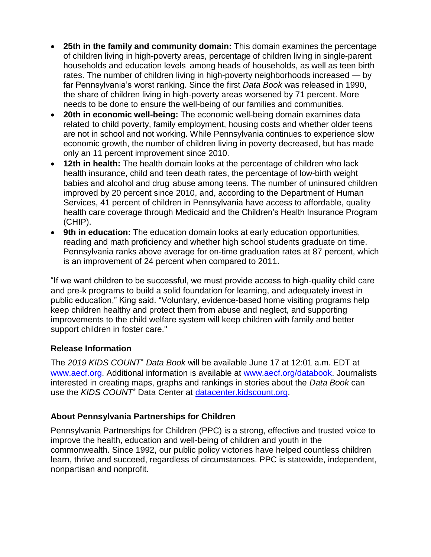- **25th in the family and community domain:** This domain examines the percentage of children living in high-poverty areas, percentage of children living in single-parent households and education levels among heads of households, as well as teen birth rates. The number of children living in high-poverty neighborhoods increased — by far Pennsylvania's worst ranking. Since the first *Data Book* was released in 1990, the share of children living in high-poverty areas worsened by 71 percent. More needs to be done to ensure the well-being of our families and communities.
- **20th in economic well-being:** The economic well-being domain examines data related to child poverty, family employment, housing costs and whether older teens are not in school and not working. While Pennsylvania continues to experience slow economic growth, the number of children living in poverty decreased, but has made only an 11 percent improvement since 2010.
- **12th in health:** The health domain looks at the percentage of children who lack health insurance, child and teen death rates, the percentage of low-birth weight babies and alcohol and drug abuse among teens. The number of uninsured children improved by 20 percent since 2010, and, according to the Department of Human Services, 41 percent of children in Pennsylvania have access to affordable, quality health care coverage through Medicaid and the Children's Health Insurance Program (CHIP).
- **9th in education:** The education domain looks at early education opportunities, reading and math proficiency and whether high school students graduate on time. Pennsylvania ranks above average for on-time graduation rates at 87 percent, which is an improvement of 24 percent when compared to 2011.

"If we want children to be successful, we must provide access to high-quality child care and pre-k programs to build a solid foundation for learning, and adequately invest in public education," King said. "Voluntary, evidence-based home visiting programs help keep children healthy and protect them from abuse and neglect, and supporting improvements to the child welfare system will keep children with family and better support children in foster care."

## **Release Information**

The *2019 KIDS COUNT*® *Data Book* will be available June 17 at 12:01 a.m. EDT at [www.aecf.org.](file:///C:/Users/rfox/Box%20Sync/Ryan) Additional information is available at [www.aecf.org/databook.](file:///C:/Users/rfox/Box%20Sync/Ryan) Journalists interested in creating maps, graphs and rankings in stories about the *Data Book* can use the *KIDS COUNT*® Data Center at [datacenter.kidscount.org.](file:///C:/Users/rfox/Box%20Sync/Ryan)

## **About Pennsylvania Partnerships for Children**

Pennsylvania Partnerships for Children (PPC) is a strong, effective and trusted voice to improve the health, education and well-being of children and youth in the commonwealth. Since 1992, our public policy victories have helped countless children learn, thrive and succeed, regardless of circumstances. PPC is statewide, independent, nonpartisan and nonprofit.